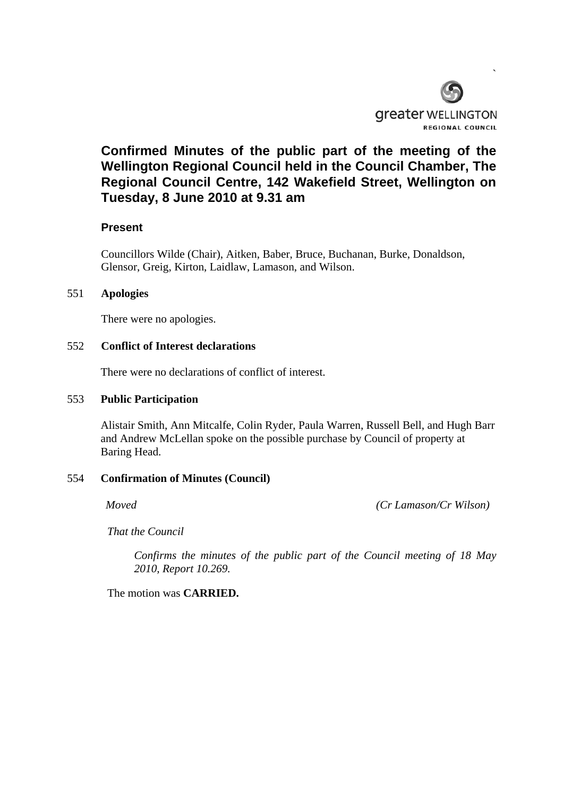

# **Confirmed Minutes of the public part of the meeting of the Wellington Regional Council held in the Council Chamber, The Regional Council Centre, 142 Wakefield Street, Wellington on Tuesday, 8 June 2010 at 9.31 am**

# **Present**

Councillors Wilde (Chair), Aitken, Baber, Bruce, Buchanan, Burke, Donaldson, Glensor, Greig, Kirton, Laidlaw, Lamason, and Wilson.

## 551 **Apologies**

There were no apologies.

## 552 **Conflict of Interest declarations**

There were no declarations of conflict of interest.

#### 553 **Public Participation**

Alistair Smith, Ann Mitcalfe, Colin Ryder, Paula Warren, Russell Bell, and Hugh Barr and Andrew McLellan spoke on the possible purchase by Council of property at Baring Head.

## 554 **Confirmation of Minutes (Council)**

*Moved (Cr Lamason/Cr Wilson)*

*That the Council* 

*Confirms the minutes of the public part of the Council meeting of 18 May 2010, Report 10.269.*

The motion was **CARRIED.**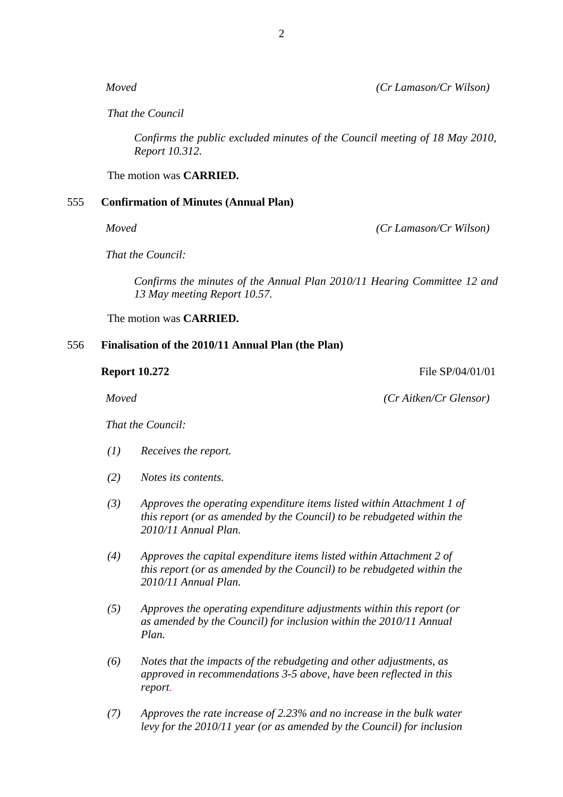*That the Council* 

*Confirms the public excluded minutes of the Council meeting of 18 May 2010, Report 10.312.*

The motion was **CARRIED.** 

# 555 **Confirmation of Minutes (Annual Plan)**

*Moved (Cr Lamason/Cr Wilson)*

*That the Council:*

*Confirms the minutes of the Annual Plan 2010/11 Hearing Committee 12 and 13 May meeting Report 10.57.*

The motion was **CARRIED.** 

## 556 **Finalisation of the 2010/11 Annual Plan (the Plan)**

*Moved (Cr Aitken/Cr Glensor)*

*That the Council:*

- *(1) Receives the report.*
- *(2) Notes its contents.*
- *(3) Approves the operating expenditure items listed within Attachment 1 of this report (or as amended by the Council) to be rebudgeted within the 2010/11 Annual Plan.*
- *(4) Approves the capital expenditure items listed within Attachment 2 of this report (or as amended by the Council) to be rebudgeted within the 2010/11 Annual Plan.*
- *(5) Approves the operating expenditure adjustments within this report (or as amended by the Council) for inclusion within the 2010/11 Annual Plan.*
- *(6) Notes that the impacts of the rebudgeting and other adjustments, as approved in recommendations 3-5 above, have been reflected in this report.*
- *(7) Approves the rate increase of 2.23% and no increase in the bulk water levy for the 2010/11 year (or as amended by the Council) for inclusion*

2

**Report 10.272** File SP/04/01/01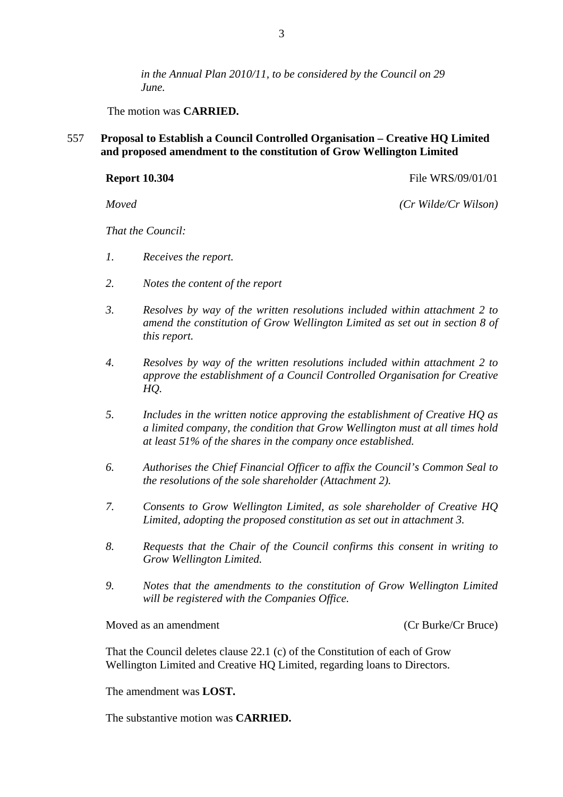*in the Annual Plan 2010/11, to be considered by the Council on 29 June.* 

The motion was **CARRIED.** 

557 **Proposal to Establish a Council Controlled Organisation – Creative HQ Limited and proposed amendment to the constitution of Grow Wellington Limited** 

**Report 10.304 File WRS/09/01/01** 

*Moved (Cr Wilde/Cr Wilson)*

*That the Council:*

- *1. Receives the report.*
- *2. Notes the content of the report*
- *3. Resolves by way of the written resolutions included within attachment 2 to amend the constitution of Grow Wellington Limited as set out in section 8 of this report.*
- *4. Resolves by way of the written resolutions included within attachment 2 to approve the establishment of a Council Controlled Organisation for Creative HQ.*
- *5. Includes in the written notice approving the establishment of Creative HQ as a limited company, the condition that Grow Wellington must at all times hold at least 51% of the shares in the company once established.*
- *6. Authorises the Chief Financial Officer to affix the Council's Common Seal to the resolutions of the sole shareholder (Attachment 2).*
- *7. Consents to Grow Wellington Limited, as sole shareholder of Creative HQ Limited, adopting the proposed constitution as set out in attachment 3.*
- *8. Requests that the Chair of the Council confirms this consent in writing to Grow Wellington Limited.*
- *9. Notes that the amendments to the constitution of Grow Wellington Limited will be registered with the Companies Office.*

Moved as an amendment (Cr Burke/Cr Bruce)

That the Council deletes clause 22.1 (c) of the Constitution of each of Grow Wellington Limited and Creative HQ Limited, regarding loans to Directors.

The amendment was **LOST.** 

The substantive motion was **CARRIED.**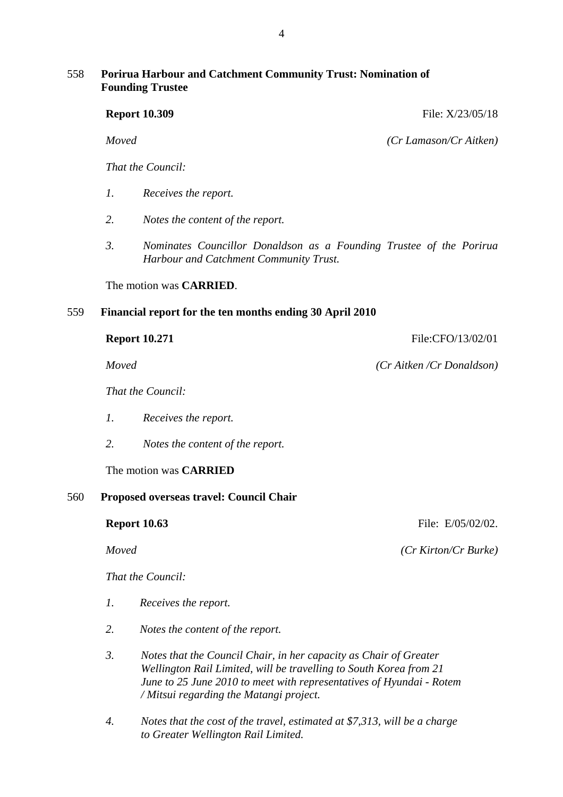# 558 **Porirua Harbour and Catchment Community Trust: Nomination of Founding Trustee**

|     |                                         | <b>Report 10.309</b>                                                                                          | File: X/23/05/18         |  |  |
|-----|-----------------------------------------|---------------------------------------------------------------------------------------------------------------|--------------------------|--|--|
|     | Moved                                   |                                                                                                               | (Cr Lamason/Cr Aitken)   |  |  |
|     |                                         | That the Council:                                                                                             |                          |  |  |
|     | $\mathfrak{1}.$                         | Receives the report.                                                                                          |                          |  |  |
|     | 2.                                      | Notes the content of the report.                                                                              |                          |  |  |
|     | $\mathfrak{Z}$ .                        | Nominates Councillor Donaldson as a Founding Trustee of the Porirua<br>Harbour and Catchment Community Trust. |                          |  |  |
|     | The motion was <b>CARRIED</b> .         |                                                                                                               |                          |  |  |
| 559 |                                         | Financial report for the ten months ending 30 April 2010                                                      |                          |  |  |
|     | <b>Report 10.271</b>                    |                                                                                                               | File:CFO/13/02/01        |  |  |
|     | Moved                                   |                                                                                                               | (Cr Aitken/Cr Donaldson) |  |  |
|     |                                         | That the Council:                                                                                             |                          |  |  |
|     | $\mathcal{I}$ .                         | Receives the report.                                                                                          |                          |  |  |
|     | 2.                                      | Notes the content of the report.                                                                              |                          |  |  |
|     | The motion was <b>CARRIED</b>           |                                                                                                               |                          |  |  |
| 560 | Proposed overseas travel: Council Chair |                                                                                                               |                          |  |  |
|     |                                         | <b>Report 10.63</b>                                                                                           | File: E/05/02/02.        |  |  |
|     | Moved                                   |                                                                                                               | (Cr Kirton/Cr Burke)     |  |  |
|     |                                         | That the Council:                                                                                             |                          |  |  |

- *1. Receives the report.*
- *2. Notes the content of the report.*
- *3. Notes that the Council Chair, in her capacity as Chair of Greater Wellington Rail Limited, will be travelling to South Korea from 21 June to 25 June 2010 to meet with representatives of Hyundai - Rotem / Mitsui regarding the Matangi project.*
- *4. Notes that the cost of the travel, estimated at \$7,313, will be a charge to Greater Wellington Rail Limited.*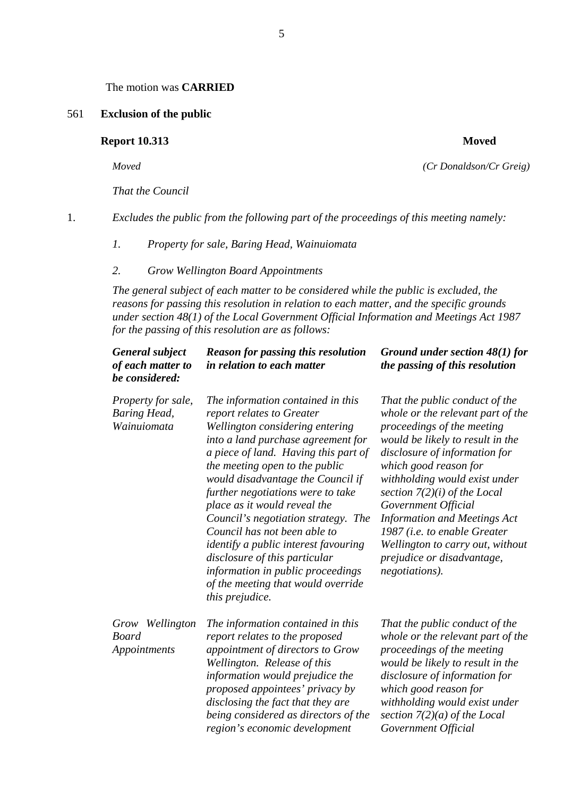The motion was **CARRIED**

#### 561 **Exclusion of the public**

### **Report 10.313** Moved

*That the Council* 

1. *Excludes the public from the following part of the proceedings of this meeting namely:* 

*1. Property for sale, Baring Head, Wainuiomata* 

#### *2. Grow Wellington Board Appointments*

*The general subject of each matter to be considered while the public is excluded, the reasons for passing this resolution in relation to each matter, and the specific grounds under section 48(1) of the Local Government Official Information and Meetings Act 1987 for the passing of this resolution are as follows:* 

| <b>General subject</b><br>of each matter to<br>be considered: | <b>Reason for passing this resolution</b><br>in relation to each matter                                                                                                                                                                                                                                                                                                                                                                                                                                                                                                                 | Ground under section $48(1)$ for<br>the passing of this resolution                                                                                                                                                                                                                                                                                                                                                                                           |
|---------------------------------------------------------------|-----------------------------------------------------------------------------------------------------------------------------------------------------------------------------------------------------------------------------------------------------------------------------------------------------------------------------------------------------------------------------------------------------------------------------------------------------------------------------------------------------------------------------------------------------------------------------------------|--------------------------------------------------------------------------------------------------------------------------------------------------------------------------------------------------------------------------------------------------------------------------------------------------------------------------------------------------------------------------------------------------------------------------------------------------------------|
| Property for sale,<br><b>Baring Head,</b><br>Wainuiomata      | The information contained in this<br>report relates to Greater<br>Wellington considering entering<br>into a land purchase agreement for<br>a piece of land. Having this part of<br>the meeting open to the public<br>would disadvantage the Council if<br>further negotiations were to take<br>place as it would reveal the<br>Council's negotiation strategy. The<br>Council has not been able to<br><i>identify a public interest favouring</i><br>disclosure of this particular<br>information in public proceedings<br>of the meeting that would override<br><i>this prejudice.</i> | That the public conduct of the<br>whole or the relevant part of the<br>proceedings of the meeting<br>would be likely to result in the<br>disclosure of information for<br>which good reason for<br>withholding would exist under<br>section $7(2)(i)$ of the Local<br>Government Official<br><b>Information and Meetings Act</b><br>1987 ( <i>i.e. to enable Greater</i><br>Wellington to carry out, without<br>prejudice or disadvantage,<br>negotiations). |
| Grow Wellington<br><b>Board</b><br>Appointments               | The information contained in this<br>report relates to the proposed<br>appointment of directors to Grow<br>Wellington. Release of this<br>information would prejudice the<br>proposed appointees' privacy by<br>disclosing the fact that they are<br>being considered as directors of the<br>region's economic development                                                                                                                                                                                                                                                              | That the public conduct of the<br>whole or the relevant part of the<br>proceedings of the meeting<br>would be likely to result in the<br>disclosure of information for<br>which good reason for<br>withholding would exist under<br>section $7(2)(a)$ of the Local<br>Government Official                                                                                                                                                                    |

5

*Moved (Cr Donaldson/Cr Greig)*